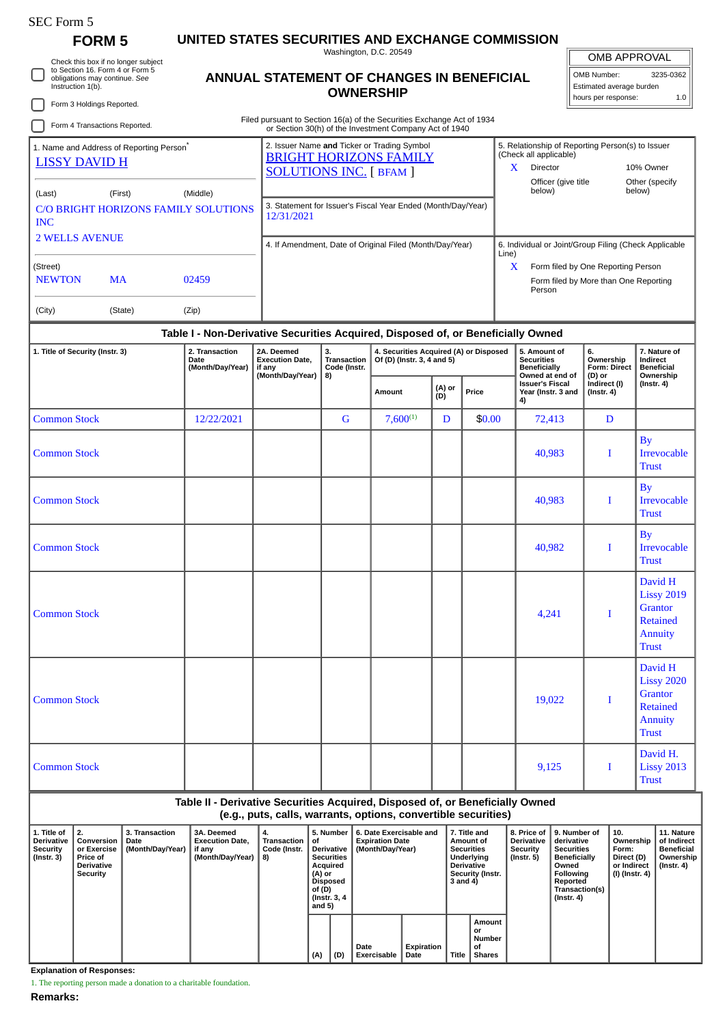## SEC Form 5

## **FORM 5 UNITED STATES SECURITIES AND EXCHANGE COMMISSION**

Washington, D.C. 20549 **ANNUAL STATEMENT OF CHANGES IN BENEFICIAL**

OMB APPROVAL OMB Number: 3235-0362

|                                                                                                                    | Check this box if no longer subject                                    |                                                                                                       |                                                                                  |                                                                        |                                                                                                              |  |                                                                      |                                                                                                |                                                                                                   |                                                                                                                                                                                     |                                              |                                                                | שר <i>ו</i> ט או דור שויוט                                        |                                                                                              |                                                                   |
|--------------------------------------------------------------------------------------------------------------------|------------------------------------------------------------------------|-------------------------------------------------------------------------------------------------------|----------------------------------------------------------------------------------|------------------------------------------------------------------------|--------------------------------------------------------------------------------------------------------------|--|----------------------------------------------------------------------|------------------------------------------------------------------------------------------------|---------------------------------------------------------------------------------------------------|-------------------------------------------------------------------------------------------------------------------------------------------------------------------------------------|----------------------------------------------|----------------------------------------------------------------|-------------------------------------------------------------------|----------------------------------------------------------------------------------------------|-------------------------------------------------------------------|
| to Section 16. Form 4 or Form 5<br>obligations may continue. See<br>Instruction 1(b).<br>Form 3 Holdings Reported. |                                                                        |                                                                                                       |                                                                                  | ANNUAL STATEMENT OF CHANGES IN BENEFICIAL                              | <b>OWNERSHIP</b>                                                                                             |  |                                                                      |                                                                                                |                                                                                                   |                                                                                                                                                                                     |                                              | OMB Number:<br>Estimated average burden<br>hours per response: |                                                                   |                                                                                              | 3235-0362<br>1.0                                                  |
|                                                                                                                    | Form 4 Transactions Reported.                                          |                                                                                                       |                                                                                  | Filed pursuant to Section 16(a) of the Securities Exchange Act of 1934 |                                                                                                              |  |                                                                      |                                                                                                |                                                                                                   |                                                                                                                                                                                     |                                              |                                                                |                                                                   |                                                                                              |                                                                   |
|                                                                                                                    | 1. Name and Address of Reporting Person <sup>®</sup>                   | or Section 30(h) of the Investment Company Act of 1940<br>2. Issuer Name and Ticker or Trading Symbol |                                                                                  |                                                                        |                                                                                                              |  |                                                                      | 5. Relationship of Reporting Person(s) to Issuer                                               |                                                                                                   |                                                                                                                                                                                     |                                              |                                                                |                                                                   |                                                                                              |                                                                   |
|                                                                                                                    | <b>LISSY DAVID H</b>                                                   | <b>BRIGHT HORIZONS FAMILY</b><br><b>SOLUTIONS INC.</b> [ BFAM ]                                       |                                                                                  |                                                                        |                                                                                                              |  |                                                                      | (Check all applicable)<br>Director<br>X.<br>10% Owner<br>Officer (give title<br>Other (specify |                                                                                                   |                                                                                                                                                                                     |                                              |                                                                |                                                                   |                                                                                              |                                                                   |
| (Middle)<br>(First)<br>(Last)                                                                                      |                                                                        |                                                                                                       |                                                                                  | 3. Statement for Issuer's Fiscal Year Ended (Month/Day/Year)           |                                                                                                              |  |                                                                      |                                                                                                |                                                                                                   | below)<br>below)                                                                                                                                                                    |                                              |                                                                |                                                                   |                                                                                              |                                                                   |
| <b>INC</b>                                                                                                         | <b>C/O BRIGHT HORIZONS FAMILY SOLUTIONS</b>                            | 12/31/2021                                                                                            |                                                                                  |                                                                        |                                                                                                              |  |                                                                      |                                                                                                |                                                                                                   |                                                                                                                                                                                     |                                              |                                                                |                                                                   |                                                                                              |                                                                   |
|                                                                                                                    | <b>2 WELLS AVENUE</b>                                                  | 4. If Amendment, Date of Original Filed (Month/Day/Year)                                              |                                                                                  |                                                                        |                                                                                                              |  |                                                                      | 6. Individual or Joint/Group Filing (Check Applicable<br>Line)                                 |                                                                                                   |                                                                                                                                                                                     |                                              |                                                                |                                                                   |                                                                                              |                                                                   |
| (Street)<br><b>NEWTON</b>                                                                                          | MA                                                                     |                                                                                                       | 02459                                                                            |                                                                        | X<br>Form filed by One Reporting Person<br>Form filed by More than One Reporting<br>Person                   |  |                                                                      |                                                                                                |                                                                                                   |                                                                                                                                                                                     |                                              |                                                                |                                                                   |                                                                                              |                                                                   |
| (City)                                                                                                             |                                                                        | (State)                                                                                               | (Zip)                                                                            |                                                                        |                                                                                                              |  |                                                                      |                                                                                                |                                                                                                   |                                                                                                                                                                                     |                                              |                                                                |                                                                   |                                                                                              |                                                                   |
|                                                                                                                    |                                                                        |                                                                                                       | Table I - Non-Derivative Securities Acquired, Disposed of, or Beneficially Owned |                                                                        |                                                                                                              |  |                                                                      |                                                                                                |                                                                                                   |                                                                                                                                                                                     |                                              |                                                                |                                                                   |                                                                                              |                                                                   |
| 1. Title of Security (Instr. 3)                                                                                    |                                                                        |                                                                                                       | 2. Transaction<br>Date<br>(Month/Day/Year)                                       | 2A. Deemed<br><b>Execution Date,</b><br>if any<br>(Month/Day/Year)     | 3.<br><b>Transaction</b><br>Code (Instr.<br>8)                                                               |  | 4. Securities Acquired (A) or Disposed<br>Of (D) (Instr. 3, 4 and 5) |                                                                                                |                                                                                                   | 5. Amount of<br><b>Securities</b><br><b>Beneficially</b><br>Owned at end of                                                                                                         |                                              | 6.<br>Ownership<br><b>Form: Direct</b><br>(D) or               |                                                                   | 7. Nature of<br>Indirect<br><b>Beneficial</b><br>Ownership                                   |                                                                   |
|                                                                                                                    |                                                                        |                                                                                                       |                                                                                  |                                                                        |                                                                                                              |  | Amount                                                               | (A) or<br>(D)                                                                                  | Price                                                                                             | 4)                                                                                                                                                                                  | <b>Issuer's Fiscal</b><br>Year (Instr. 3 and | Indirect (I)<br>$($ Instr. 4 $)$                               |                                                                   | $($ Instr. 4 $)$                                                                             |                                                                   |
| <b>Common Stock</b>                                                                                                |                                                                        |                                                                                                       | 12/22/2021                                                                       |                                                                        | G                                                                                                            |  | $7,600^{(1)}$                                                        | D                                                                                              | \$0.00                                                                                            |                                                                                                                                                                                     | 72,413                                       |                                                                | D                                                                 |                                                                                              |                                                                   |
| <b>Common Stock</b>                                                                                                |                                                                        |                                                                                                       |                                                                                  |                                                                        |                                                                                                              |  |                                                                      |                                                                                                |                                                                                                   |                                                                                                                                                                                     | 40,983                                       |                                                                | I                                                                 | <b>By</b><br><b>Irrevocable</b><br><b>Trust</b>                                              |                                                                   |
| <b>Common Stock</b>                                                                                                |                                                                        |                                                                                                       |                                                                                  |                                                                        |                                                                                                              |  |                                                                      |                                                                                                |                                                                                                   |                                                                                                                                                                                     | 40,983                                       |                                                                | П                                                                 | $\mathbf{B}\mathbf{v}$<br><b>Irrevocable</b><br><b>Trust</b>                                 |                                                                   |
| <b>Common Stock</b>                                                                                                |                                                                        |                                                                                                       |                                                                                  |                                                                        |                                                                                                              |  |                                                                      |                                                                                                |                                                                                                   |                                                                                                                                                                                     | 40,982                                       |                                                                | 1                                                                 | <b>By</b><br><b>Irrevocable</b><br><b>Trust</b>                                              |                                                                   |
| <b>Common Stock</b>                                                                                                |                                                                        |                                                                                                       |                                                                                  |                                                                        |                                                                                                              |  |                                                                      |                                                                                                |                                                                                                   |                                                                                                                                                                                     | 4,241                                        |                                                                | I                                                                 | David H<br><b>Lissy 2019</b><br>Grantor<br><b>Retained</b><br>Annuity<br><b>Trust</b>        |                                                                   |
| <b>Common Stock</b>                                                                                                |                                                                        |                                                                                                       |                                                                                  |                                                                        |                                                                                                              |  |                                                                      |                                                                                                |                                                                                                   |                                                                                                                                                                                     | 19,022                                       |                                                                | 1                                                                 | David H<br><b>Lissy 2020</b><br>Grantor<br><b>Retained</b><br><b>Annuity</b><br><b>Trust</b> |                                                                   |
| <b>Common Stock</b>                                                                                                |                                                                        |                                                                                                       |                                                                                  |                                                                        |                                                                                                              |  |                                                                      |                                                                                                |                                                                                                   | 9,125                                                                                                                                                                               |                                              | I<br><b>Trust</b>                                              |                                                                   | David H.<br><b>Lissy 2013</b>                                                                |                                                                   |
|                                                                                                                    |                                                                        |                                                                                                       | Table II - Derivative Securities Acquired, Disposed of, or Beneficially Owned    |                                                                        |                                                                                                              |  |                                                                      |                                                                                                |                                                                                                   |                                                                                                                                                                                     |                                              |                                                                |                                                                   |                                                                                              |                                                                   |
| 1. Title of                                                                                                        | 2.                                                                     | 3. Transaction                                                                                        | 3A. Deemed                                                                       | (e.g., puts, calls, warrants, options, convertible securities)<br>4.   | 5. Number                                                                                                    |  | 6. Date Exercisable and                                              |                                                                                                | 7. Title and                                                                                      | 8. Price of                                                                                                                                                                         | 9. Number of                                 |                                                                | 10.                                                               |                                                                                              | 11. Nature                                                        |
| Derivative<br><b>Security</b><br>$($ Instr. 3 $)$                                                                  | Conversion<br>or Exercise<br>Price of<br>Derivative<br><b>Security</b> | Date<br>(Month/Day/Year)                                                                              | <b>Execution Date,</b><br>if any<br>(Month/Day/Year)                             | <b>Transaction</b><br>οf<br>Code (Instr.<br>8)                         | Derivative<br><b>Securities</b><br>Acquired<br>(A) or<br><b>Disposed</b><br>of (D)<br>(Instr. 3, 4<br>and 5) |  | <b>Expiration Date</b><br>(Month/Day/Year)                           |                                                                                                | Amount of<br><b>Securities</b><br>Underlying<br><b>Derivative</b><br>Security (Instr.<br>3 and 4) | Derivative<br>derivative<br><b>Security</b><br><b>Securities</b><br>$($ Instr. 5 $)$<br><b>Beneficially</b><br>Owned<br>Following<br>Reported<br>Transaction(s)<br>$($ Instr. 4 $)$ |                                              |                                                                | Ownership<br>Form:<br>Direct (D)<br>or Indirect<br>(I) (Instr. 4) |                                                                                              | of Indirect<br><b>Beneficial</b><br>Ownership<br>$($ Instr. 4 $)$ |

**(A) (D)**

**Date Exercisable**

**Expiration Date Title**

**Amount or Number of Shares**

**Explanation of Responses:**

1. The reporting person made a donation to a charitable foundation.

**Remarks:**